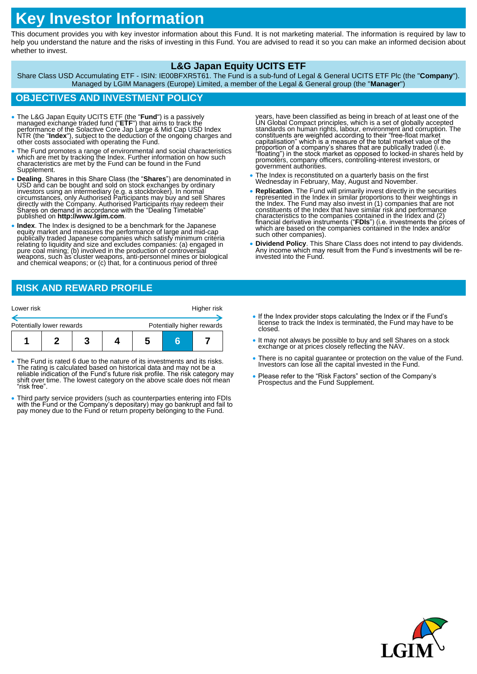# **Key Investor Information**

This document provides you with key investor information about this Fund. It is not marketing material. The information is required by law to help you understand the nature and the risks of investing in this Fund. You are advised to read it so you can make an informed decision about whether to invest.

## **L&G Japan Equity UCITS ETF**

Share Class USD Accumulating ETF - ISIN: IE00BFXR5T61. The Fund is a sub-fund of Legal & General UCITS ETF Plc (the "**Company**"). Managed by LGIM Managers (Europe) Limited, a member of the Legal & General group (the "**Manager**")

## **OBJECTIVES AND INVESTMENT POLICY**

- The L&G Japan Equity UCITS ETF (the "**Fund**") is a passively managed exchange traded fund ("**ETF**") that aims to track the performance of the Solactive Core Jap Large & Mid Cap USD Index NTR (the "**Index**"), subject to the deduction of the ongoing charges and other costs associated with operating the Fund.
- The Fund promotes a range of environmental and social characteristics which are met by tracking the Index. Further information on how such characteristics are met by the Fund can be found in the Fund Supplement.
- Dealing. Shares in this Share Class (the "Shares") are denominated in USD and can be bought and sold on stock exchanges by ordinary investors using an intermediary (e.g. a stockbroker). In normal circumstances, only Auth directly with the Company. Authorised Participants may redeem their Shares on demand in accordance with the "Dealing Timetable" published on **http://www.lgim.com**.
- **Index**. The Index is designed to be a benchmark for the Japanese equity market and measures the performance of large and mid-cap publically traded Japanese companies which satisfy minimum criteria relating to liquidity and size and excludes companies: (a) engaged in pure cŏal mining; (b) involved in the production of controversial<br>weapons, such as cluster weapons, anti-personnel mines or biological<br>and chemical weapons; or (c) that, for a continuous period of three

years, have been classified as being in breach of at least one of the UN Global Compact principles, which is a set of globally accepted standards on human rights, labour, environment and corruption. The constituents are we promoters, company officers, controlling-interest investors, or<br>government authorities.

- The Index is reconstituted on a quarterly basis on the first Wednesday in February, May, August and November.
- **Replication**. The Fund will primarily invest directly in the securities represented in the Index in similar proportions to their weightings in the Index. The Fund may also invest in (1) companies that are not<br>constituents of the Index that have similar risk and performance characteristics to the companies contained in the Index and (2) financial derivative instruments ("**FDIs**") (i.e. investments the prices of which are based on the companies contained in the Index and/or such other companies).
- **Dividend Policy**. This Share Class does not intend to pay dividends. Any income which may result from the Fund's investments will be reinvested into the Fund.

# **RISK AND REWARD PROFILE**

| Lower risk                |  |  |  |  | Higher risk |  |                            |
|---------------------------|--|--|--|--|-------------|--|----------------------------|
| Potentially lower rewards |  |  |  |  |             |  | Potentially higher rewards |
|                           |  |  |  |  |             |  |                            |
|                           |  |  |  |  | C           |  |                            |

- The Fund is rated 6 due to the nature of its investments and its risks. The rating is calculated based on historical data and may not be a reliable indication of the Fund's future risk profile. The risk category may shift over time. The lowest category on the above scale does not mean "risk free".
- Third party service providers (such as counterparties entering into FDIs with the Fund or the Company's depositary) may go bankrupt and fail to pay money due to the Fund or return property belonging to the Fund.
- If the Index provider stops calculating the Index or if the Fund's license to track the Index is terminated, the Fund may have to be closed.
- It may not always be possible to buy and sell Shares on a stock exchange or at prices closely reflecting the NAV.
- There is no capital guarantee or protection on the value of the Fund. Investors can lose all the capital invested in the Fund.
- Please refer to the "Risk Factors" section of the Company's Prospectus and the Fund Supplement.